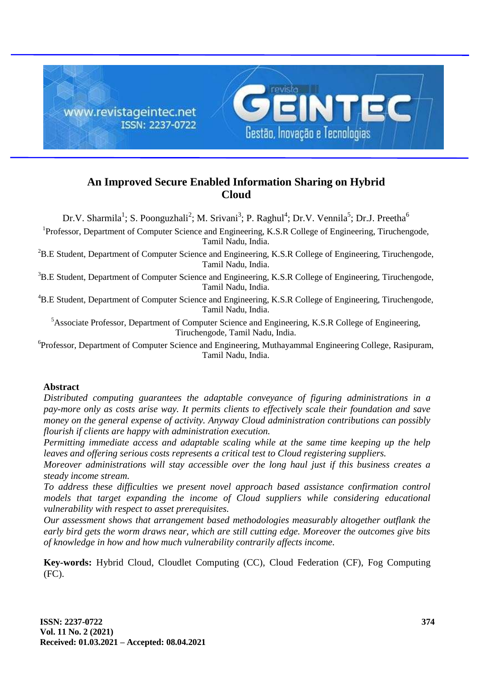

# **An Improved Secure Enabled Information Sharing on Hybrid Cloud**

Dr.V. Sharmila<sup>1</sup>; S. Poonguzhali<sup>2</sup>; M. Srivani<sup>3</sup>; P. Raghul<sup>4</sup>; Dr.V. Vennila<sup>5</sup>; Dr.J. Preetha<sup>6</sup>

<sup>1</sup>Professor, Department of Computer Science and Engineering, K.S.R College of Engineering, Tiruchengode, Tamil Nadu, India.

 ${}^{2}$ B.E Student, Department of Computer Science and Engineering, K.S.R College of Engineering, Tiruchengode, Tamil Nadu, India.

<sup>3</sup>B.E Student, Department of Computer Science and Engineering, K.S.R College of Engineering, Tiruchengode, Tamil Nadu, India.

<sup>4</sup>B.E Student, Department of Computer Science and Engineering, K.S.R College of Engineering, Tiruchengode, Tamil Nadu, India.

<sup>5</sup>Associate Professor, Department of Computer Science and Engineering, K.S.R College of Engineering, Tiruchengode, Tamil Nadu, India.

<sup>6</sup>Professor, Department of Computer Science and Engineering, Muthayammal Engineering College, Rasipuram, Tamil Nadu, India.

# **Abstract**

*Distributed computing guarantees the adaptable conveyance of figuring administrations in a pay-more only as costs arise way. It permits clients to effectively scale their foundation and save money on the general expense of activity. Anyway Cloud administration contributions can possibly flourish if clients are happy with administration execution.*

*Permitting immediate access and adaptable scaling while at the same time keeping up the help leaves and offering serious costs represents a critical test to Cloud registering suppliers.*

*Moreover administrations will stay accessible over the long haul just if this business creates a steady income stream.*

*To address these difficulties we present novel approach based assistance confirmation control models that target expanding the income of Cloud suppliers while considering educational vulnerability with respect to asset prerequisites.*

*Our assessment shows that arrangement based methodologies measurably altogether outflank the early bird gets the worm draws near, which are still cutting edge. Moreover the outcomes give bits of knowledge in how and how much vulnerability contrarily affects income.*

**Key-words:** Hybrid Cloud, Cloudlet Computing (CC), Cloud Federation (CF), Fog Computing (FC).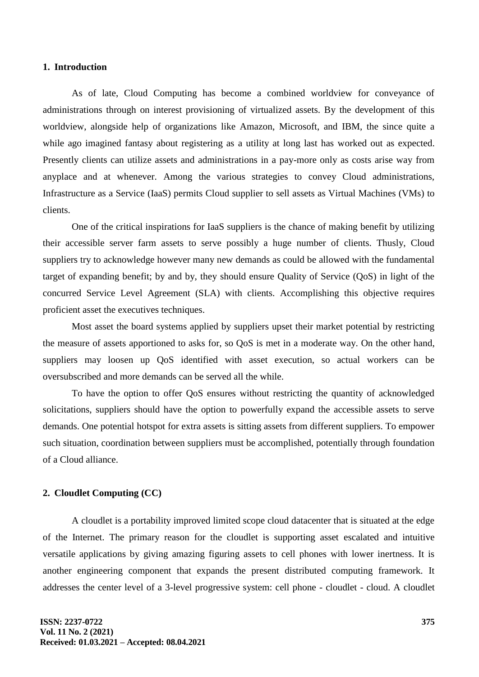#### **1. Introduction**

As of late, Cloud Computing has become a combined worldview for conveyance of administrations through on interest provisioning of virtualized assets. By the development of this worldview, alongside help of organizations like Amazon, Microsoft, and IBM, the since quite a while ago imagined fantasy about registering as a utility at long last has worked out as expected. Presently clients can utilize assets and administrations in a pay-more only as costs arise way from anyplace and at whenever. Among the various strategies to convey Cloud administrations, Infrastructure as a Service (IaaS) permits Cloud supplier to sell assets as Virtual Machines (VMs) to clients.

One of the critical inspirations for IaaS suppliers is the chance of making benefit by utilizing their accessible server farm assets to serve possibly a huge number of clients. Thusly, Cloud suppliers try to acknowledge however many new demands as could be allowed with the fundamental target of expanding benefit; by and by, they should ensure Quality of Service (QoS) in light of the concurred Service Level Agreement (SLA) with clients. Accomplishing this objective requires proficient asset the executives techniques.

Most asset the board systems applied by suppliers upset their market potential by restricting the measure of assets apportioned to asks for, so QoS is met in a moderate way. On the other hand, suppliers may loosen up QoS identified with asset execution, so actual workers can be oversubscribed and more demands can be served all the while.

To have the option to offer QoS ensures without restricting the quantity of acknowledged solicitations, suppliers should have the option to powerfully expand the accessible assets to serve demands. One potential hotspot for extra assets is sitting assets from different suppliers. To empower such situation, coordination between suppliers must be accomplished, potentially through foundation of a Cloud alliance.

## **2. Cloudlet Computing (CC)**

A cloudlet is a portability improved limited scope cloud datacenter that is situated at the edge of the Internet. The primary reason for the cloudlet is supporting asset escalated and intuitive versatile applications by giving amazing figuring assets to cell phones with lower inertness. It is another engineering component that expands the present distributed computing framework. It addresses the center level of a 3-level progressive system: cell phone - cloudlet - cloud. A cloudlet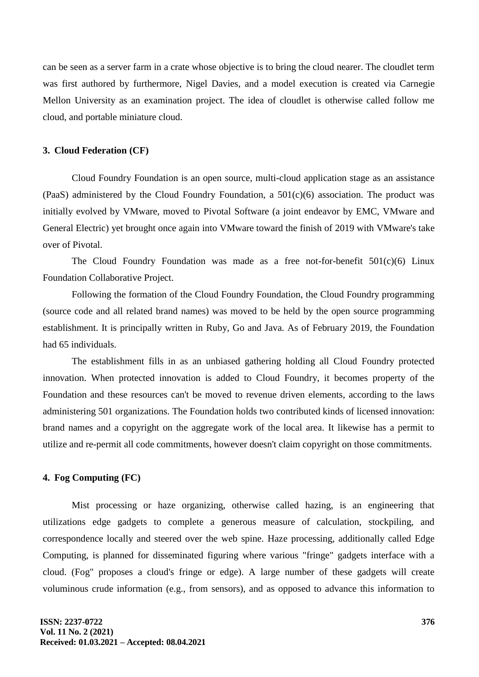can be seen as a server farm in a crate whose objective is to bring the cloud nearer. The cloudlet term was first authored by furthermore, Nigel Davies, and a model execution is created via Carnegie Mellon University as an examination project. The idea of cloudlet is otherwise called follow me cloud, and portable miniature cloud.

#### **3. Cloud Federation (CF)**

Cloud Foundry Foundation is an open source, multi-cloud application stage as an assistance (PaaS) administered by the Cloud Foundry Foundation, a  $501(c)(6)$  association. The product was initially evolved by VMware, moved to Pivotal Software (a joint endeavor by EMC, VMware and General Electric) yet brought once again into VMware toward the finish of 2019 with VMware's take over of Pivotal.

The Cloud Foundry Foundation was made as a free not-for-benefit  $501(c)(6)$  Linux Foundation Collaborative Project.

Following the formation of the Cloud Foundry Foundation, the Cloud Foundry programming (source code and all related brand names) was moved to be held by the open source programming establishment. It is principally written in Ruby, Go and Java. As of February 2019, the Foundation had 65 individuals.

The establishment fills in as an unbiased gathering holding all Cloud Foundry protected innovation. When protected innovation is added to Cloud Foundry, it becomes property of the Foundation and these resources can't be moved to revenue driven elements, according to the laws administering 501 organizations. The Foundation holds two contributed kinds of licensed innovation: brand names and a copyright on the aggregate work of the local area. It likewise has a permit to utilize and re-permit all code commitments, however doesn't claim copyright on those commitments.

#### **4. Fog Computing (FC)**

Mist processing or haze organizing, otherwise called hazing, is an engineering that utilizations edge gadgets to complete a generous measure of calculation, stockpiling, and correspondence locally and steered over the web spine. Haze processing, additionally called Edge Computing, is planned for disseminated figuring where various "fringe" gadgets interface with a cloud. (Fog" proposes a cloud's fringe or edge). A large number of these gadgets will create voluminous crude information (e.g., from sensors), and as opposed to advance this information to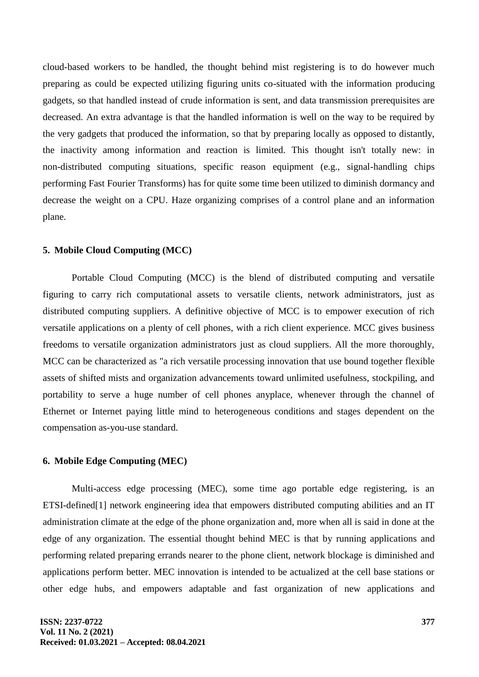cloud-based workers to be handled, the thought behind mist registering is to do however much preparing as could be expected utilizing figuring units co-situated with the information producing gadgets, so that handled instead of crude information is sent, and data transmission prerequisites are decreased. An extra advantage is that the handled information is well on the way to be required by the very gadgets that produced the information, so that by preparing locally as opposed to distantly, the inactivity among information and reaction is limited. This thought isn't totally new: in non-distributed computing situations, specific reason equipment (e.g., signal-handling chips performing Fast Fourier Transforms) has for quite some time been utilized to diminish dormancy and decrease the weight on a CPU. Haze organizing comprises of a control plane and an information plane.

#### **5. Mobile Cloud Computing (MCC)**

Portable Cloud Computing (MCC) is the blend of distributed computing and versatile figuring to carry rich computational assets to versatile clients, network administrators, just as distributed computing suppliers. A definitive objective of MCC is to empower execution of rich versatile applications on a plenty of cell phones, with a rich client experience. MCC gives business freedoms to versatile organization administrators just as cloud suppliers. All the more thoroughly, MCC can be characterized as "a rich versatile processing innovation that use bound together flexible assets of shifted mists and organization advancements toward unlimited usefulness, stockpiling, and portability to serve a huge number of cell phones anyplace, whenever through the channel of Ethernet or Internet paying little mind to heterogeneous conditions and stages dependent on the compensation as-you-use standard.

#### **6. Mobile Edge Computing (MEC)**

Multi-access edge processing (MEC), some time ago portable edge registering, is an ETSI-defined<sup>[1]</sup> network engineering idea that empowers distributed computing abilities and an IT administration climate at the edge of the phone organization and, more when all is said in done at the edge of any organization. The essential thought behind MEC is that by running applications and performing related preparing errands nearer to the phone client, network blockage is diminished and applications perform better. MEC innovation is intended to be actualized at the cell base stations or other edge hubs, and empowers adaptable and fast organization of new applications and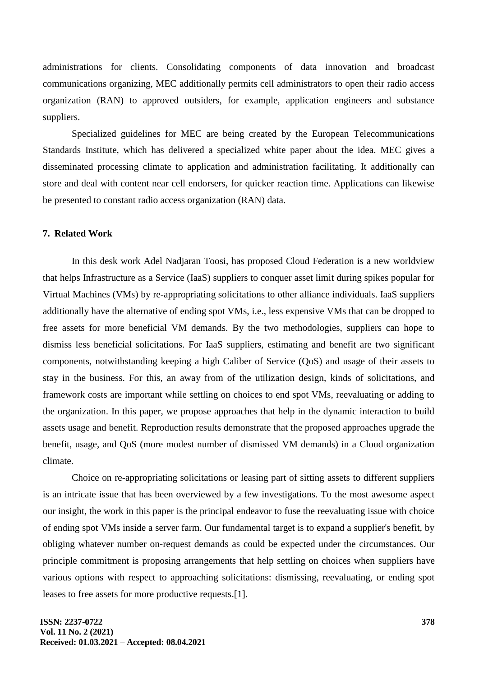administrations for clients. Consolidating components of data innovation and broadcast communications organizing, MEC additionally permits cell administrators to open their radio access organization (RAN) to approved outsiders, for example, application engineers and substance suppliers.

Specialized guidelines for MEC are being created by the European Telecommunications Standards Institute, which has delivered a specialized white paper about the idea. MEC gives a disseminated processing climate to application and administration facilitating. It additionally can store and deal with content near cell endorsers, for quicker reaction time. Applications can likewise be presented to constant radio access organization (RAN) data.

# **7. Related Work**

In this desk work Adel Nadjaran Toosi, has proposed Cloud Federation is a new worldview that helps Infrastructure as a Service (IaaS) suppliers to conquer asset limit during spikes popular for Virtual Machines (VMs) by re-appropriating solicitations to other alliance individuals. IaaS suppliers additionally have the alternative of ending spot VMs, i.e., less expensive VMs that can be dropped to free assets for more beneficial VM demands. By the two methodologies, suppliers can hope to dismiss less beneficial solicitations. For IaaS suppliers, estimating and benefit are two significant components, notwithstanding keeping a high Caliber of Service (QoS) and usage of their assets to stay in the business. For this, an away from of the utilization design, kinds of solicitations, and framework costs are important while settling on choices to end spot VMs, reevaluating or adding to the organization. In this paper, we propose approaches that help in the dynamic interaction to build assets usage and benefit. Reproduction results demonstrate that the proposed approaches upgrade the benefit, usage, and QoS (more modest number of dismissed VM demands) in a Cloud organization climate.

Choice on re-appropriating solicitations or leasing part of sitting assets to different suppliers is an intricate issue that has been overviewed by a few investigations. To the most awesome aspect our insight, the work in this paper is the principal endeavor to fuse the reevaluating issue with choice of ending spot VMs inside a server farm. Our fundamental target is to expand a supplier's benefit, by obliging whatever number on-request demands as could be expected under the circumstances. Our principle commitment is proposing arrangements that help settling on choices when suppliers have various options with respect to approaching solicitations: dismissing, reevaluating, or ending spot leases to free assets for more productive requests.[1].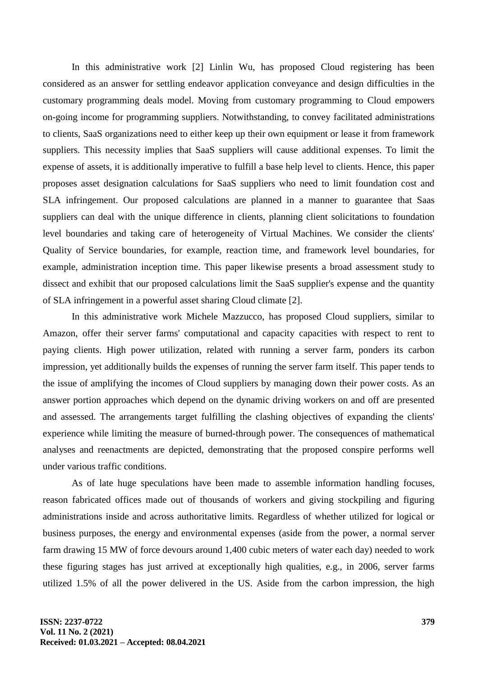In this administrative work [2] Linlin Wu, has proposed Cloud registering has been considered as an answer for settling endeavor application conveyance and design difficulties in the customary programming deals model. Moving from customary programming to Cloud empowers on-going income for programming suppliers. Notwithstanding, to convey facilitated administrations to clients, SaaS organizations need to either keep up their own equipment or lease it from framework suppliers. This necessity implies that SaaS suppliers will cause additional expenses. To limit the expense of assets, it is additionally imperative to fulfill a base help level to clients. Hence, this paper proposes asset designation calculations for SaaS suppliers who need to limit foundation cost and SLA infringement. Our proposed calculations are planned in a manner to guarantee that Saas suppliers can deal with the unique difference in clients, planning client solicitations to foundation level boundaries and taking care of heterogeneity of Virtual Machines. We consider the clients' Quality of Service boundaries, for example, reaction time, and framework level boundaries, for example, administration inception time. This paper likewise presents a broad assessment study to dissect and exhibit that our proposed calculations limit the SaaS supplier's expense and the quantity of SLA infringement in a powerful asset sharing Cloud climate [2].

In this administrative work Michele Mazzucco, has proposed Cloud suppliers, similar to Amazon, offer their server farms' computational and capacity capacities with respect to rent to paying clients. High power utilization, related with running a server farm, ponders its carbon impression, yet additionally builds the expenses of running the server farm itself. This paper tends to the issue of amplifying the incomes of Cloud suppliers by managing down their power costs. As an answer portion approaches which depend on the dynamic driving workers on and off are presented and assessed. The arrangements target fulfilling the clashing objectives of expanding the clients' experience while limiting the measure of burned-through power. The consequences of mathematical analyses and reenactments are depicted, demonstrating that the proposed conspire performs well under various traffic conditions.

As of late huge speculations have been made to assemble information handling focuses, reason fabricated offices made out of thousands of workers and giving stockpiling and figuring administrations inside and across authoritative limits. Regardless of whether utilized for logical or business purposes, the energy and environmental expenses (aside from the power, a normal server farm drawing 15 MW of force devours around 1,400 cubic meters of water each day) needed to work these figuring stages has just arrived at exceptionally high qualities, e.g., in 2006, server farms utilized 1.5% of all the power delivered in the US. Aside from the carbon impression, the high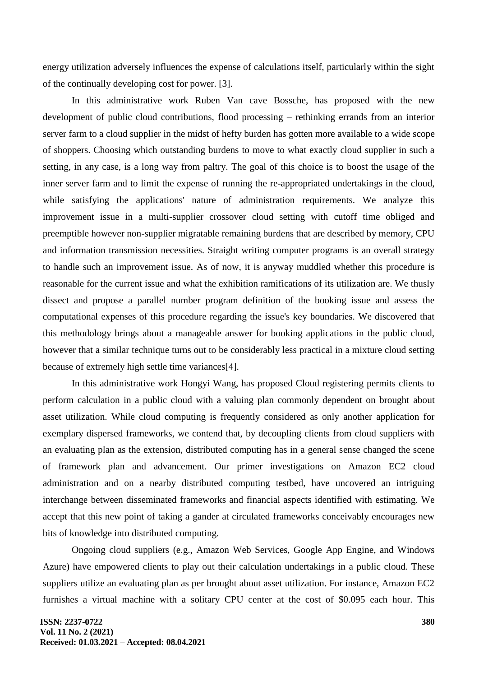energy utilization adversely influences the expense of calculations itself, particularly within the sight of the continually developing cost for power. [3].

In this administrative work Ruben Van cave Bossche, has proposed with the new development of public cloud contributions, flood processing – rethinking errands from an interior server farm to a cloud supplier in the midst of hefty burden has gotten more available to a wide scope of shoppers. Choosing which outstanding burdens to move to what exactly cloud supplier in such a setting, in any case, is a long way from paltry. The goal of this choice is to boost the usage of the inner server farm and to limit the expense of running the re-appropriated undertakings in the cloud, while satisfying the applications' nature of administration requirements. We analyze this improvement issue in a multi-supplier crossover cloud setting with cutoff time obliged and preemptible however non-supplier migratable remaining burdens that are described by memory, CPU and information transmission necessities. Straight writing computer programs is an overall strategy to handle such an improvement issue. As of now, it is anyway muddled whether this procedure is reasonable for the current issue and what the exhibition ramifications of its utilization are. We thusly dissect and propose a parallel number program definition of the booking issue and assess the computational expenses of this procedure regarding the issue's key boundaries. We discovered that this methodology brings about a manageable answer for booking applications in the public cloud, however that a similar technique turns out to be considerably less practical in a mixture cloud setting because of extremely high settle time variances[4].

In this administrative work Hongyi Wang, has proposed Cloud registering permits clients to perform calculation in a public cloud with a valuing plan commonly dependent on brought about asset utilization. While cloud computing is frequently considered as only another application for exemplary dispersed frameworks, we contend that, by decoupling clients from cloud suppliers with an evaluating plan as the extension, distributed computing has in a general sense changed the scene of framework plan and advancement. Our primer investigations on Amazon EC2 cloud administration and on a nearby distributed computing testbed, have uncovered an intriguing interchange between disseminated frameworks and financial aspects identified with estimating. We accept that this new point of taking a gander at circulated frameworks conceivably encourages new bits of knowledge into distributed computing.

Ongoing cloud suppliers (e.g., Amazon Web Services, Google App Engine, and Windows Azure) have empowered clients to play out their calculation undertakings in a public cloud. These suppliers utilize an evaluating plan as per brought about asset utilization. For instance, Amazon EC2 furnishes a virtual machine with a solitary CPU center at the cost of \$0.095 each hour. This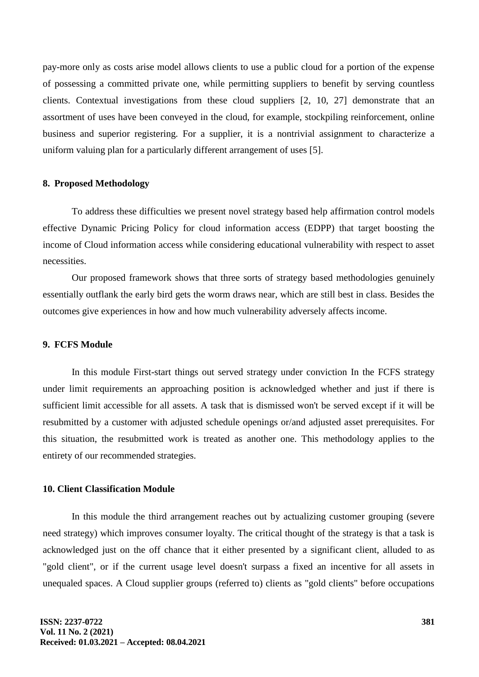pay-more only as costs arise model allows clients to use a public cloud for a portion of the expense of possessing a committed private one, while permitting suppliers to benefit by serving countless clients. Contextual investigations from these cloud suppliers [2, 10, 27] demonstrate that an assortment of uses have been conveyed in the cloud, for example, stockpiling reinforcement, online business and superior registering. For a supplier, it is a nontrivial assignment to characterize a uniform valuing plan for a particularly different arrangement of uses [5].

#### **8. Proposed Methodology**

To address these difficulties we present novel strategy based help affirmation control models effective Dynamic Pricing Policy for cloud information access (EDPP) that target boosting the income of Cloud information access while considering educational vulnerability with respect to asset necessities.

Our proposed framework shows that three sorts of strategy based methodologies genuinely essentially outflank the early bird gets the worm draws near, which are still best in class. Besides the outcomes give experiences in how and how much vulnerability adversely affects income.

# **9. FCFS Module**

In this module First-start things out served strategy under conviction In the FCFS strategy under limit requirements an approaching position is acknowledged whether and just if there is sufficient limit accessible for all assets. A task that is dismissed won't be served except if it will be resubmitted by a customer with adjusted schedule openings or/and adjusted asset prerequisites. For this situation, the resubmitted work is treated as another one. This methodology applies to the entirety of our recommended strategies.

## **10. Client Classification Module**

In this module the third arrangement reaches out by actualizing customer grouping (severe need strategy) which improves consumer loyalty. The critical thought of the strategy is that a task is acknowledged just on the off chance that it either presented by a significant client, alluded to as "gold client", or if the current usage level doesn't surpass a fixed an incentive for all assets in unequaled spaces. A Cloud supplier groups (referred to) clients as "gold clients" before occupations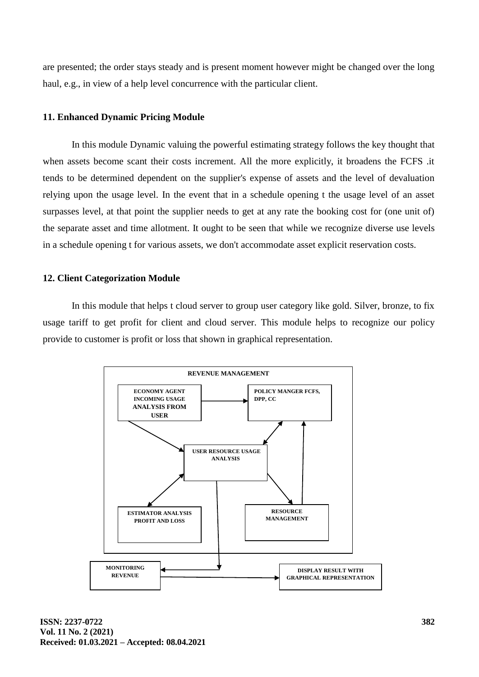are presented; the order stays steady and is present moment however might be changed over the long haul, e.g., in view of a help level concurrence with the particular client.

## **11. Enhanced Dynamic Pricing Module**

In this module Dynamic valuing the powerful estimating strategy follows the key thought that when assets become scant their costs increment. All the more explicitly, it broadens the FCFS .it tends to be determined dependent on the supplier's expense of assets and the level of devaluation relying upon the usage level. In the event that in a schedule opening t the usage level of an asset surpasses level, at that point the supplier needs to get at any rate the booking cost for (one unit of) the separate asset and time allotment. It ought to be seen that while we recognize diverse use levels in a schedule opening t for various assets, we don't accommodate asset explicit reservation costs.

## **12. Client Categorization Module**

In this module that helps t cloud server to group user category like gold. Silver, bronze, to fix usage tariff to get profit for client and cloud server. This module helps to recognize our policy provide to customer is profit or loss that shown in graphical representation.

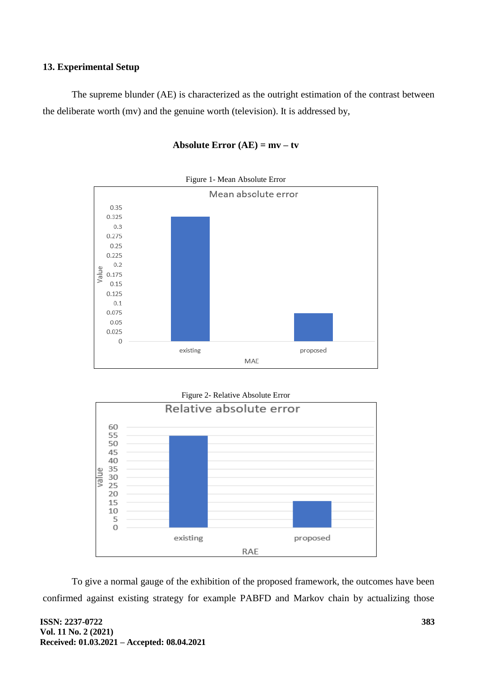# **13. Experimental Setup**

The supreme blunder (AE) is characterized as the outright estimation of the contrast between the deliberate worth (mv) and the genuine worth (television). It is addressed by,



## **Absolute Error (AE) = mv – tv**



To give a normal gauge of the exhibition of the proposed framework, the outcomes have been confirmed against existing strategy for example PABFD and Markov chain by actualizing those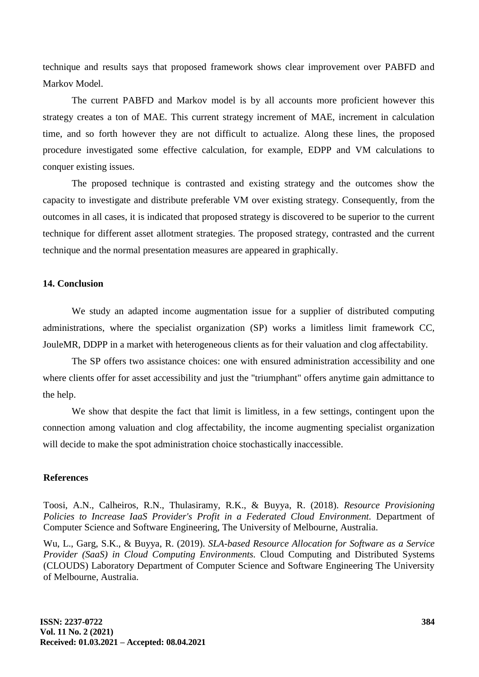technique and results says that proposed framework shows clear improvement over PABFD and Markov Model.

The current PABFD and Markov model is by all accounts more proficient however this strategy creates a ton of MAE. This current strategy increment of MAE, increment in calculation time, and so forth however they are not difficult to actualize. Along these lines, the proposed procedure investigated some effective calculation, for example, EDPP and VM calculations to conquer existing issues.

The proposed technique is contrasted and existing strategy and the outcomes show the capacity to investigate and distribute preferable VM over existing strategy. Consequently, from the outcomes in all cases, it is indicated that proposed strategy is discovered to be superior to the current technique for different asset allotment strategies. The proposed strategy, contrasted and the current technique and the normal presentation measures are appeared in graphically.

#### **14. Conclusion**

We study an adapted income augmentation issue for a supplier of distributed computing administrations, where the specialist organization (SP) works a limitless limit framework CC, JouleMR, DDPP in a market with heterogeneous clients as for their valuation and clog affectability.

The SP offers two assistance choices: one with ensured administration accessibility and one where clients offer for asset accessibility and just the "triumphant" offers anytime gain admittance to the help.

We show that despite the fact that limit is limitless, in a few settings, contingent upon the connection among valuation and clog affectability, the income augmenting specialist organization will decide to make the spot administration choice stochastically inaccessible.

#### **References**

Toosi, A.N., Calheiros, R.N., Thulasiramy, R.K., & Buyya, R. (2018). *Resource Provisioning Policies to Increase IaaS Provider's Profit in a Federated Cloud Environment.* Department of Computer Science and Software Engineering, The University of Melbourne, Australia.

Wu, L., Garg, S.K., & Buyya, R. (2019). *SLA-based Resource Allocation for Software as a Service Provider (SaaS) in Cloud Computing Environments.* Cloud Computing and Distributed Systems (CLOUDS) Laboratory Department of Computer Science and Software Engineering The University of Melbourne, Australia.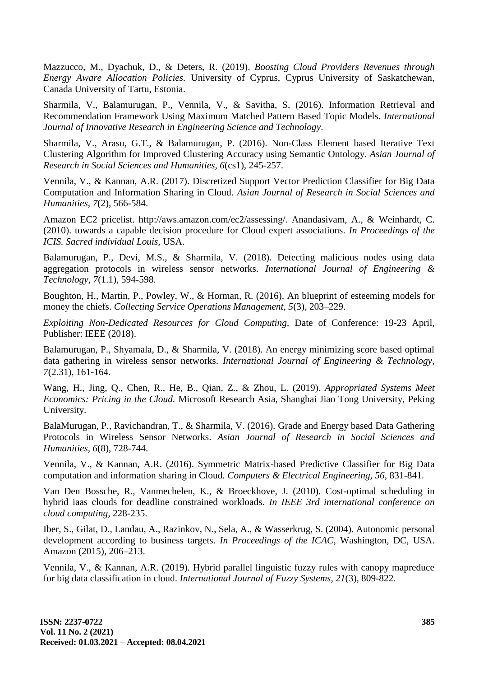Mazzucco, M., Dyachuk, D., & Deters, R. (2019). *Boosting Cloud Providers Revenues through Energy Aware Allocation Policies.* University of Cyprus, Cyprus University of Saskatchewan, Canada University of Tartu, Estonia.

Sharmila, V., Balamurugan, P., Vennila, V., & Savitha, S. (2016). Information Retrieval and Recommendation Framework Using Maximum Matched Pattern Based Topic Models. *International Journal of Innovative Research in Engineering Science and Technology*.

Sharmila, V., Arasu, G.T., & Balamurugan, P. (2016). Non-Class Element based Iterative Text Clustering Algorithm for Improved Clustering Accuracy using Semantic Ontology. *Asian Journal of Research in Social Sciences and Humanities, 6*(cs1), 245-257.

Vennila, V., & Kannan, A.R. (2017). Discretized Support Vector Prediction Classifier for Big Data Computation and Information Sharing in Cloud. *Asian Journal of Research in Social Sciences and Humanities, 7*(2), 566-584.

Amazon EC2 pricelist. http://aws.amazon.com/ec2/assessing/. Anandasivam, A., & Weinhardt, C. (2010). towards a capable decision procedure for Cloud expert associations. *In Proceedings of the ICIS. Sacred individual Louis,* USA.

Balamurugan, P., Devi, M.S., & Sharmila, V. (2018). Detecting malicious nodes using data aggregation protocols in wireless sensor networks. *International Journal of Engineering & Technology, 7*(1.1), 594-598.

Boughton, H., Martin, P., Powley, W., & Horman, R. (2016). An blueprint of esteeming models for money the chiefs. *Collecting Service Operations Management, 5*(3), 203–229.

*Exploiting Non-Dedicated Resources for Cloud Computing,* Date of Conference: 19-23 April, Publisher: IEEE (2018).

Balamurugan, P., Shyamala, D., & Sharmila, V. (2018). An energy minimizing score based optimal data gathering in wireless sensor networks. *International Journal of Engineering & Technology, 7*(2.31), 161-164.

Wang, H., Jing, Q., Chen, R., He, B., Qian, Z., & Zhou, L. (2019). *Appropriated Systems Meet Economics: Pricing in the Cloud.* Microsoft Research Asia, Shanghai Jiao Tong University, Peking University.

BalaMurugan, P., Ravichandran, T., & Sharmila, V. (2016). Grade and Energy based Data Gathering Protocols in Wireless Sensor Networks. *Asian Journal of Research in Social Sciences and Humanities, 6*(8), 728-744.

Vennila, V., & Kannan, A.R. (2016). Symmetric Matrix-based Predictive Classifier for Big Data computation and information sharing in Cloud*. Computers & Electrical Engineering, 56,* 831-841.

Van Den Bossche, R., Vanmechelen, K., & Broeckhove, J. (2010). Cost-optimal scheduling in hybrid iaas clouds for deadline constrained workloads. *In IEEE 3rd international conference on cloud computing,* 228-235.

Iber, S., Gilat, D., Landau, A., Razinkov, N., Sela, A., & Wasserkrug, S. (2004). Autonomic personal development according to business targets. *In Proceedings of the ICAC,* Washington, DC, USA. Amazon (2015), 206–213.

Vennila, V., & Kannan, A.R. (2019). Hybrid parallel linguistic fuzzy rules with canopy mapreduce for big data classification in cloud. *International Journal of Fuzzy Systems, 21*(3), 809-822.